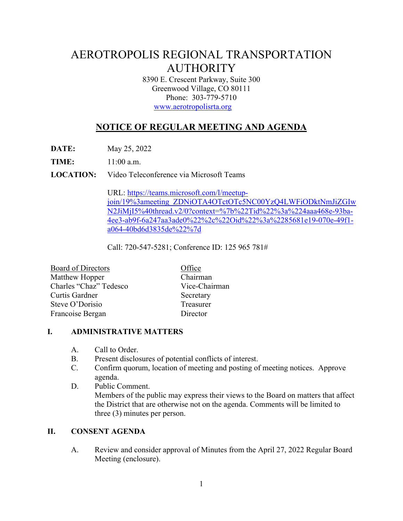# AEROTROPOLIS REGIONAL TRANSPORTATION AUTHORITY

8390 E. Crescent Parkway, Suite 300 Greenwood Village, CO 80111 Phone: 303-779-5710 www.aerotropolisrta.org

## **NOTICE OF REGULAR MEETING AND AGENDA**

**DATE:** May 25, 2022

**TIME:** 11:00 a.m.

**LOCATION:** Video Teleconference via Microsoft Teams

URL: https://teams.microsoft.com/l/meetupjoin/19%3ameeting\_ZDNiOTA4OTctOTc5NC00YzQ4LWFiODktNmJiZGIw N2JiMjI5%40thread.v2/0?context=%7b%22Tid%22%3a%224aaa468e-93ba-4ee3-ab9f-6a247aa3ade0%22%2c%22Oid%22%3a%2285681e19-070e-49f1 a064-40bd6d3835de%22%7d

Call: 720-547-5281; Conference ID: 125 965 781#

| <b>Board of Directors</b> | Office        |
|---------------------------|---------------|
| Matthew Hopper            | Chairman      |
| Charles "Chaz" Tedesco    | Vice-Chairman |
| Curtis Gardner            | Secretary     |
| Steve O'Dorisio           | Treasurer     |
| Francoise Bergan          | Director      |

#### **I. ADMINISTRATIVE MATTERS**

- A. Call to Order.
- B. Present disclosures of potential conflicts of interest.
- C. Confirm quorum, location of meeting and posting of meeting notices. Approve agenda.
- D. Public Comment. Members of the public may express their views to the Board on matters that affect the District that are otherwise not on the agenda. Comments will be limited to three (3) minutes per person.

#### **II. CONSENT AGENDA**

A. Review and consider approval of Minutes from the April 27, 2022 Regular Board Meeting (enclosure).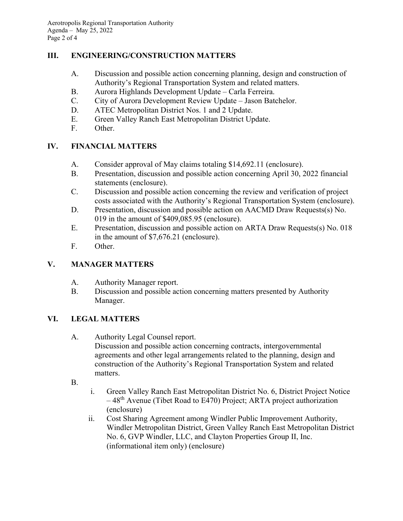#### **III. ENGINEERING/CONSTRUCTION MATTERS**

- A. Discussion and possible action concerning planning, design and construction of Authority's Regional Transportation System and related matters.
- B. Aurora Highlands Development Update Carla Ferreira.
- C. City of Aurora Development Review Update Jason Batchelor.
- D. ATEC Metropolitan District Nos. 1 and 2 Update.
- E. Green Valley Ranch East Metropolitan District Update.
- F. Other.

### **IV. FINANCIAL MATTERS**

- A. Consider approval of May claims totaling \$14,692.11 (enclosure).
- B. Presentation, discussion and possible action concerning April 30, 2022 financial statements (enclosure).
- C. Discussion and possible action concerning the review and verification of project costs associated with the Authority's Regional Transportation System (enclosure).
- D. Presentation, discussion and possible action on AACMD Draw Requests(s) No. 019 in the amount of \$409,085.95 (enclosure).
- E. Presentation, discussion and possible action on ARTA Draw Requests(s) No. 018 in the amount of \$7,676.21 (enclosure).
- F. Other.

### **V. MANAGER MATTERS**

- A. Authority Manager report.
- B. Discussion and possible action concerning matters presented by Authority Manager.

### **VI. LEGAL MATTERS**

A. Authority Legal Counsel report.

Discussion and possible action concerning contracts, intergovernmental agreements and other legal arrangements related to the planning, design and construction of the Authority's Regional Transportation System and related matters.

- B.
- i. Green Valley Ranch East Metropolitan District No. 6, District Project Notice  $-48<sup>th</sup>$  Avenue (Tibet Road to E470) Project; ARTA project authorization (enclosure)
- ii. Cost Sharing Agreement among Windler Public Improvement Authority, Windler Metropolitan District, Green Valley Ranch East Metropolitan District No. 6, GVP Windler, LLC, and Clayton Properties Group II, Inc. (informational item only) (enclosure)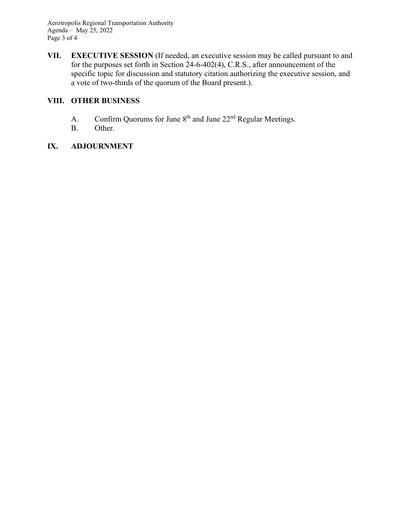Aerotropolis Regional Transportation Authority Agenda – May 25, 2022 Page 3 of 4

**VII. EXECUTIVE SESSION** (If needed, an executive session may be called pursuant to and for the purposes set forth in Section 24-6-402(4), C.R.S., after announcement of the specific topic for discussion and statutory citation authorizing the executive session, and a vote of two-thirds of the quorum of the Board present.).

#### **VIII. OTHER BUSINESS**

- A. Confirm Quorums for June 8<sup>th</sup> and June 22<sup>nd</sup> Regular Meetings.
- B. Other.

### **IX. ADJOURNMENT**